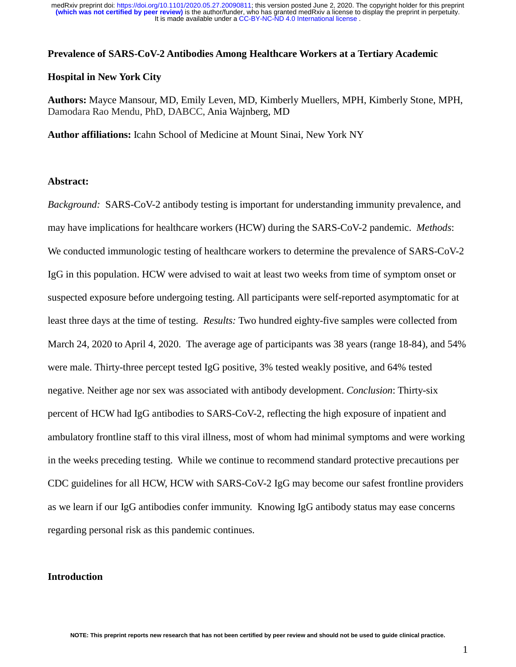#### **Prevalence of SARS-CoV-2 Antibodies Among Healthcare Workers at a Tertiary Academic**

#### **Hospital in New York City**

**Authors:** Mayce Mansour, MD, Emily Leven, MD, Kimberly Muellers, MPH, Kimberly Stone, MPH, Damodara Rao Mendu, PhD, DABCC, Ania Wajnberg, MD

**Author affiliations:** Icahn School of Medicine at Mount Sinai, New York NY

### **Abstract:**

*Background:* SARS-CoV-2 antibody testing is important for understanding immunity prevalence, and may have implications for healthcare workers (HCW) during the SARS-CoV-2 pandemic. *Methods*: We conducted immunologic testing of healthcare workers to determine the prevalence of SARS-CoV-2 IgG in this population. HCW were advised to wait at least two weeks from time of symptom onset or suspected exposure before undergoing testing. All participants were self-reported asymptomatic for at least three days at the time of testing. *Results:* Two hundred eighty-five samples were collected from March 24, 2020 to April 4, 2020. The average age of participants was 38 years (range 18-84), and 54% were male. Thirty-three percept tested IgG positive, 3% tested weakly positive, and 64% tested negative. Neither age nor sex was associated with antibody development. *Conclusion*: Thirty-six percent of HCW had IgG antibodies to SARS-CoV-2, reflecting the high exposure of inpatient and ambulatory frontline staff to this viral illness, most of whom had minimal symptoms and were working in the weeks preceding testing. While we continue to recommend standard protective precautions per CDC guidelines for all HCW, HCW with SARS-CoV-2 IgG may become our safest frontline providers as we learn if our IgG antibodies confer immunity. Knowing IgG antibody status may ease concerns regarding personal risk as this pandemic continues.

#### **Introduction**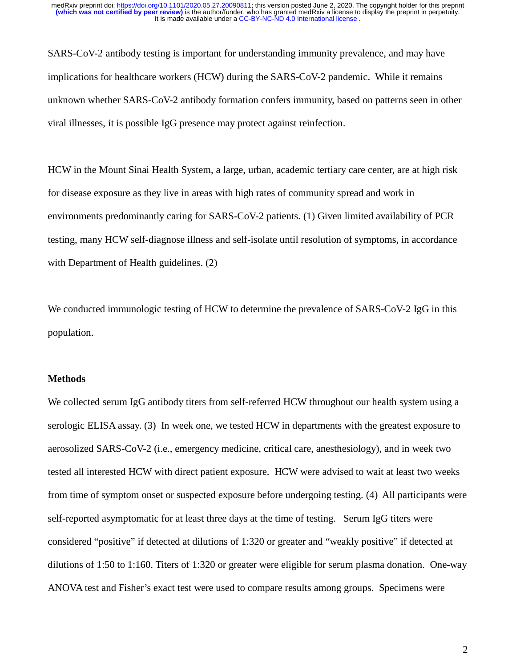SARS-CoV-2 antibody testing is important for understanding immunity prevalence, and may have implications for healthcare workers (HCW) during the SARS-CoV-2 pandemic. While it remains unknown whether SARS-CoV-2 antibody formation confers immunity, based on patterns seen in other viral illnesses, it is possible IgG presence may protect against reinfection.

HCW in the Mount Sinai Health System, a large, urban, academic tertiary care center, are at high risk for disease exposure as they live in areas with high rates of community spread and work in environments predominantly caring for SARS-CoV-2 patients. (1) Given limited availability of PCR testing, many HCW self-diagnose illness and self-isolate until resolution of symptoms, in accordance with Department of Health guidelines. (2)

We conducted immunologic testing of HCW to determine the prevalence of SARS-CoV-2 IgG in this population.

#### **Methods**

We collected serum IgG antibody titers from self-referred HCW throughout our health system using a serologic ELISA assay. (3) In week one, we tested HCW in departments with the greatest exposure to aerosolized SARS-CoV-2 (i.e., emergency medicine, critical care, anesthesiology), and in week two tested all interested HCW with direct patient exposure. HCW were advised to wait at least two weeks from time of symptom onset or suspected exposure before undergoing testing. (4) All participants were self-reported asymptomatic for at least three days at the time of testing. Serum IgG titers were considered "positive" if detected at dilutions of 1:320 or greater and "weakly positive" if detected at dilutions of 1:50 to 1:160. Titers of 1:320 or greater were eligible for serum plasma donation. One-way ANOVA test and Fisher's exact test were used to compare results among groups. Specimens were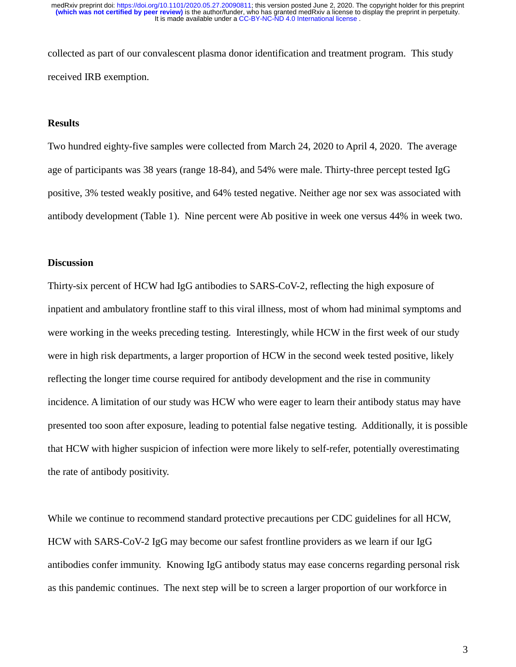collected as part of our convalescent plasma donor identification and treatment program. This study received IRB exemption.

### **Results**

Two hundred eighty-five samples were collected from March 24, 2020 to April 4, 2020. The average age of participants was 38 years (range 18-84), and 54% were male. Thirty-three percept tested IgG positive, 3% tested weakly positive, and 64% tested negative. Neither age nor sex was associated with antibody development (Table 1). Nine percent were Ab positive in week one versus 44% in week two.

#### **Discussion**

Thirty-six percent of HCW had IgG antibodies to SARS-CoV-2, reflecting the high exposure of inpatient and ambulatory frontline staff to this viral illness, most of whom had minimal symptoms and were working in the weeks preceding testing. Interestingly, while HCW in the first week of our study were in high risk departments, a larger proportion of HCW in the second week tested positive, likely reflecting the longer time course required for antibody development and the rise in community incidence. A limitation of our study was HCW who were eager to learn their antibody status may have presented too soon after exposure, leading to potential false negative testing. Additionally, it is possible that HCW with higher suspicion of infection were more likely to self-refer, potentially overestimating the rate of antibody positivity.

While we continue to recommend standard protective precautions per CDC guidelines for all HCW, HCW with SARS-CoV-2 IgG may become our safest frontline providers as we learn if our IgG antibodies confer immunity. Knowing IgG antibody status may ease concerns regarding personal risk as this pandemic continues. The next step will be to screen a larger proportion of our workforce in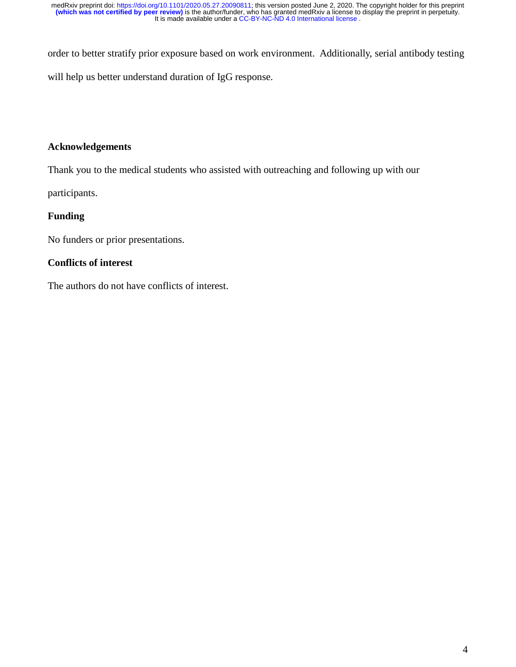order to better stratify prior exposure based on work environment. Additionally, serial antibody testing will help us better understand duration of IgG response.

# **Acknowledgements**

Thank you to the medical students who assisted with outreaching and following up with our

participants.

# **Funding**

No funders or prior presentations.

# **Conflicts of interest**

The authors do not have conflicts of interest.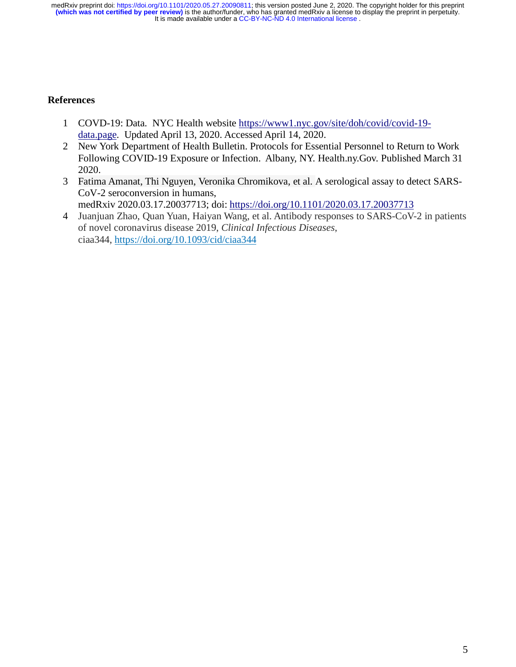### **References**

- 1 COVD-19: Data. NYC Health website https://www1.nyc.gov/site/doh/covid/covid-19 data.page. Updated April 13, 2020. Accessed April 14, 2020.
- 2 New York Department of Health Bulletin. Protocols for Essential Personnel to Return to Work Following COVID-19 Exposure or Infection. Albany, NY. Health.ny.Gov. Published March 31 2020.
- 3 Fatima Amanat, Thi Nguyen, Veronika Chromikova, et al. A serological assay to detect SARS-CoV-2 seroconversion in humans, medRxiv 2020.03.17.20037713; doi: https://doi.org/10.1101/2020.03.17.20037713
- 4 Juanjuan Zhao, Quan Yuan, Haiyan Wang, et al. Antibody responses to SARS-CoV-2 in patients of novel coronavirus disease 2019, *Clinical Infectious Diseases*, ciaa344, https://doi.org/10.1093/cid/ciaa344